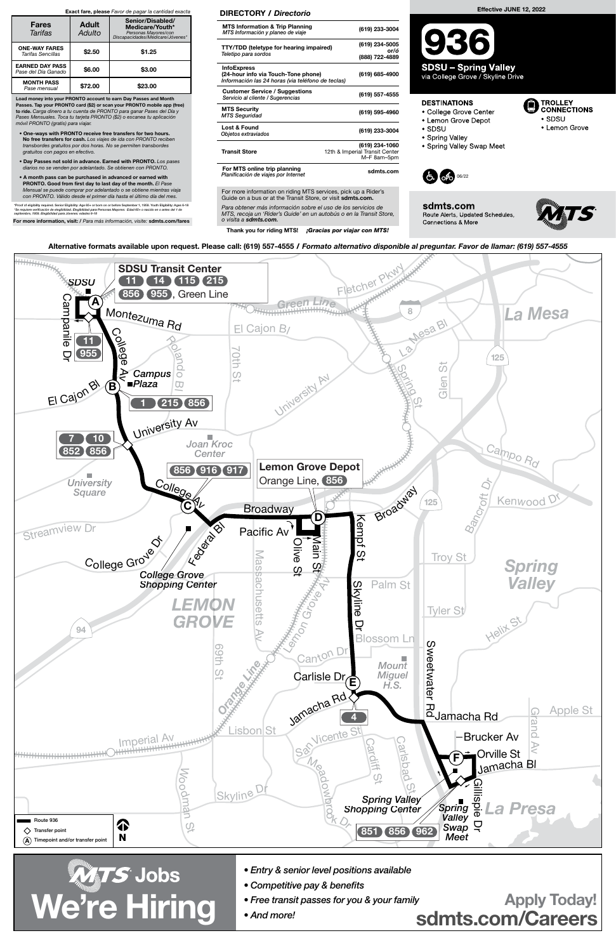For more information on riding MTS services, pick up a Rider's Guide on a bus or at the Transit Store, or visit sdmts.com.



Alternative formats available upon request. Please call: (619) 557-4555 / Formato alternativo disponible al preguntar. Favor de llamar: (619) 557-4555

Para obtener más información sobre el uso de los servicios de MTS, recoja un 'Rider's Guide' en un autobús o en la Transit Store, o visita a sdmts.com.

Thank you for riding MTS! ¡Gracias por viajar con MTS!

#### DIRECTORY / Directorio

| <b>MTS Information &amp; Trip Planning</b><br>MTS Información y planeo de viaje                                | (619) 233-3004                                                  |
|----------------------------------------------------------------------------------------------------------------|-----------------------------------------------------------------|
| <b>TTY/TDD (teletype for hearing impaired)</b><br>Teletipo para sordos                                         | (619) 234-5005<br>or/ó<br>(888) 722-4889                        |
| <b>InfoExpress</b><br>(24-hour info via Touch-Tone phone)<br>Información las 24 horas (via teléfono de teclas) | (619) 685-4900                                                  |
| <b>Customer Service / Suggestions</b><br>Servicio al cliente / Sugerencias                                     | (619) 557-4555                                                  |
| <b>MTS Security</b><br><b>MTS Seguridad</b>                                                                    | (619) 595-4960                                                  |
| <b>Lost &amp; Found</b><br>Objetos extraviados                                                                 | (619) 233-3004                                                  |
| <b>Transit Store</b>                                                                                           | (619) 234-1060<br>12th & Imperial Transit Center<br>M-F 8am-5pm |
| For MTS online trip planning<br>Planificación de viajes por Internet                                           | sdmts.com                                                       |

Load money into your PRONTO account to earn Day Passes and Month Passes. Tap your PRONTO card (\$2) or scan your PRONTO mobile app (free) to ride. Carga dinero a tu cuenta de PRONTO para ganar Pases del Día y Pases Mensuales. Toca tu tarjeta PRONTO (\$2) o escanea tu aplicación móvil PRONTO (gratis) para viajar.

- One-ways with PRONTO receive free transfers for two hours. No free transfers for cash. Los viajes de ida con PRONTO reciben transbordes gratuitos por dos horas. No se permiten transbordes gratuitos con pagos en efectivo.
- Day Passes not sold in advance. Earned with PRONTO. Los pases diarios no se venden por adelantado. Se obtienen con PRONTO.
- A month pass can be purchased in advanced or earned with PRONTO. Good from first day to last day of the month. El Pase Mensual se puede comprar por adelantado o se obtiene mientras viaja con PRONTO. Válido desde el primer día hasta el último día del mes.

\*Proof of eligibility required. Senior Eligibility: Age 65+ or born on or before September 1, 1959. Youth Eligibility: Ages 6-18<br>\*Se requiere verificación de elegibilidad. Elegibilidad para Personas Mayores: Edad 65+ o nac

For more information, visit: / Para más información, visite: sdmts.com/fares

#### Exact fare, please Favor de pagar la cantidad exacta

| <b>Fares</b><br>Tarifas                       | <b>Adult</b><br>Adulto | Senior/Disabled/<br>Medicare/Youth*<br>Personas Mayores/con<br>Discapacidades/Medicare/Jóvenes* |
|-----------------------------------------------|------------------------|-------------------------------------------------------------------------------------------------|
| <b>ONE-WAY FARES</b><br>Tarifas Sencillas     | \$2.50                 | \$1.25                                                                                          |
| <b>EARNED DAY PASS</b><br>Pase del Día Ganado | \$6.00                 | \$3.00                                                                                          |
| <b>MONTH PASS</b><br>Pase mensual             | \$72.00                | \$23.00                                                                                         |

## Effective JUNE 12, 2022

**SDSU - Spring Valley** 

via College Grove / Skyline Drive

### **DESTINATIONS**

- College Grove Center
- Lemon Grove Depot
- $\bullet$  SDSU
- Spring Valley
- Spring Valley Swap Meet



sdmts.com Route Alerts, Updated Schedules, Connections & More



TROLLEY<br>CONNECTIONS

• Lemon Grove

 $\bullet$  SDSU



sdmts.com/Careers

- Entry & senior level positions available
- Competitive pay & benefits
- Free transit passes for you & your family

• And more!